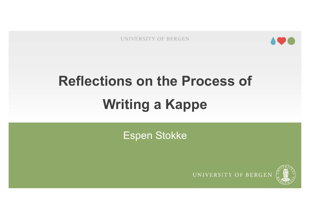

# EXPLEMATE AND TO THE REFIGEN AND SUPERFORM OF BERGEN AND CONTROLLER AND THE REFIGERER AND RESERVE AND RESERVE A SAMPLE A MANUSCRIPT OF BERGEN AND REFIG. THE REFIG. And REFIG. THE REFIG. A MANUSCRIPT OF BEAT AND REFIG. THE UNIVERSITY OF BERGEN<br> **Writing a Kappe**

Espen Stokke



UNIVERSITY OF BERGEN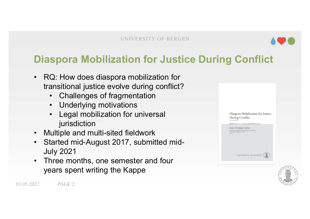

## UNIVERSITY OF BERGEN<br>Diaspora Mobilization for Justice During Conflict<br>• RQ: How does diaspora mobilization for<br>transitional justice overly during conflict? UNIVERSITY OF BERGEN **PROFILLARY OF BERGEN CONCRETERTS OF BERGEN**<br>
• RQ: How does diaspora mobilization for<br>
• RQ: How does diaspora mobilization for<br>
• Challenges of fragmentation UNIVERSITY OF BERGEN<br> **ASPOTA Mobilization for Justice During Cor**<br>
RQ: How does diaspora mobilization for<br>
transitional justice evolve during conflict?<br>
• Challenges of fragmentation<br>
• Underlying motivations

- **EXECUTE SPOTA Mobilization for Justice During**<br> **Spora Mobilization for Justice During**<br>
Q: How does diaspora mobilization for<br>
ansitional justice evolve during conflict?<br>
 Challenges of fragmentation<br>
 Legal mobilizati **EXECUTE: THE CONTREST OF BERGEN**<br> **Spora Mobilization for Justice**<br>
Q: How does diaspora mobilization for<br>
ansitional justice evolve during conflict?<br>
• Challenges of fragmentation<br>
• Underlying motivations<br>
• Legal mobil **Spora Mobilization for Justice During Condition**<br>
Q: How does diaspora mobilization for<br>
ansitional justice evolve during conflict?<br>
• Challenges of fragmentation<br>
• Underlying motivations<br>
• Legal mobilization for univer **aspora Mobilization for Just**<br>RQ: How does diaspora mobilization for<br>transitional justice evolve during conflict<br>• Challenges of fragmentation<br>• Underlying motivations<br>• Legal mobilization for universal<br>jurisdiction<br>Multi
	-
	-
	- jurisdiction
- 
- RQ: How does diaspora mobilization for<br>transitional justice evolve during conflict?<br>• Challenges of fragmentation<br>• Underlying motivations<br>• Legal mobilization for universal<br>jurisdiction<br>• Multiple and multi-sited fieldw
- 



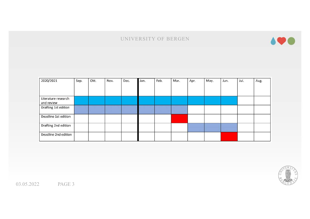

| 2020/2021                         | Sep. | Okt. | Nov. | Dec. | Jan. | Feb. | Mar. | Apr. | May. | Jun. | Jul. | Aug. |
|-----------------------------------|------|------|------|------|------|------|------|------|------|------|------|------|
| Literature research<br>and review |      |      |      |      |      |      |      |      |      |      |      |      |
| Drafting 1st edition              |      |      |      |      |      |      |      |      |      |      |      |      |
| Deadline 1st edition              |      |      |      |      |      |      |      |      |      |      |      |      |
| Drafting 2nd edition              |      |      |      |      |      |      |      |      |      |      |      |      |
| Deadline 2nd edition              |      |      |      |      |      |      |      |      |      |      |      |      |

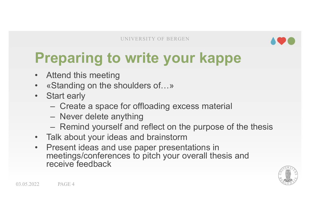

#### UNIVERSITY OF BERGEN **AVO**<br>Preparing to write your kappe UNIVERSITY OF BERGEN<br> **Preparing to write your Kannet Alternal Standing on the shoulders of...»**<br>
• Start early **Preparing to write your kappe<br>• Attend this meeting<br>• «Standing on the shoulders of…»<br>• Start early<br>• Create a space for offloading excess material Preparing to write y<br>• Attend this meeting<br>• «Standing on the shoulders of...<br>• Start early<br>• Create a space for offloading<br>• Never delete anything Example 3 CONVERSITY OF BERGEN CONCREDING 10 WRITE SOLUT Kappe<br>
Standing on the shoulders of...»<br>
Standing on the shoulders of...»<br>
Stant early<br>
- Create a space for offloading excess material<br>
- Never delete anything<br>
- Eparing to write your kapp**<br>
MINTERTY OF BERGEN<br>
MINTERTY OF BERGEN<br>
Standing on the shoulders of...»<br>
Start early<br>
- Create a space for offloading excess material<br>
- Never delete anything<br>
- Remind yourself and reflect o **Example 20 All of the purpose of the these of the thesis of the shoulders of the shoulders of the shoulders of the thesis**<br>Alternative and reflect on the purpose of the thesis<br>- Never delete anything<br>- Remind yourself and

- 
- 
- -
	-
	-
- 
- **Preparing to write your kappe**<br>
 Attend this meeting<br>
 «Standing on the shoulders of...»<br>
 Start early<br>
 Create a space for offloading excess material<br>
 Never delete anything<br>
 Remind yourself and reflect on the pur **Preparing to write your kappe**<br>
• Attend this meeting<br>
• «Standing on the shoulders of...»<br>
• Start early<br>
– Create a space for offloading excess material<br>
– Never delete anything<br>
– Remind yourself and reflect on the pur Merculing to Witter your Kupper<br>Attend this meeting<br>«Standing on the shoulders of...»<br>Start early<br>— Create a space for offloading excess material<br>— Never delete anything<br>— Remind yourself and reflect on the purpose of the Attend this meeting<br>
«Standing on the shoulders of...»<br>
Start early<br>
- Create a space for offloading excess<br>
- Never delete anything<br>
- Remind yourself and reflect on the p<br>
Talk about your ideas and brainstorm<br>
Present id

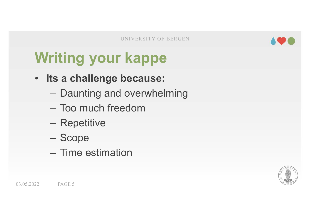

### UNIVERSITY OF BERGEN<br>
Writing your kappe<br>
Consideration and the absolute of the absolute of the same of the same of the same of the same of the same of the same of the same of the same of the same of the same of the same o EXPRESS UNIVERSITY OF BERGEN<br>
Writing your kappe<br>
• Its a challenge because:<br>
- Daunting and overwhelming UNIVERSITY OF BERGEN<br> **Example 1991 STARD PERSISTS**<br> **Example 2011 STARD PERSISTS**<br> **Example 2011 DEAD PERSISTS**<br> **Example 2011 PERSISTS**<br> **Example 2011 PERSISTS**<br> **Example 2011 PERSISTS** UNIVERSITY OF BERGEN<br> **Titing your kappe**<br>
ts a challenge because:<br>
- Daunting and overwhelming<br>
- Too much freedom<br>
- Repetitive UNIVERSITY OF BERC<br> **Example 15 YOUT Kappe**<br> **Example 2018 SEARCE:**<br>
- Daunting and overwhelmin<br>
- Too much freedom<br>
- Repetitive<br>
- Scope riting your kappe<br>
ts a challenge because:<br>
– Daunting and overwhelmir<br>
– Too much freedom<br>– Repetitive<br>– Scope<br>– Time estimation

- 
- Turry your Rappe<br>
ts a challenge because:<br>
 Daunting and overwhelming<br>
 Too much freedom<br>
 Repetitive<br>
 Scope<br>
 Time estimation
	-
	-
	-
	-

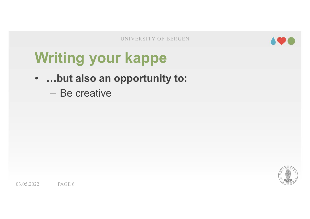

## **Writing your kappe**<br>
Writing your kappe<br>
Consumity to: **EXPRESS AND SUNIVERSITY OF BERGEN AVERY CONSUMING A SUBARY AND A SUBARY OF BERGEN**<br>
• …but also an opportunity to:<br>
— Be creative **Writing your kappe<br>
• ...but also an opportunity to:**<br>
– Be creative

- -

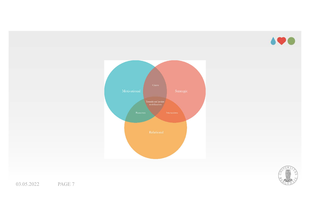



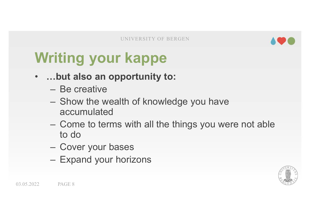

## UNIVERSITY OF BERGEN<br>
Writing your kappe<br>
Music an opportunity to: UNIVERSITY OF BERGEN<br>
Writing your kappe<br>
• …but also an opportunity to:<br>
– Be creative<br>
– Show the wealth of knowledge you have

- -
- **Thing your kappe<br>Thing your kappe<br>- Be creative<br>- Show the wealth of knowledge<br>accumulated** Example The Wallens of Berkeen<br>
Show the wealth of knowledge you have<br>
The creative<br>
The wealth of knowledge you have<br>
The wealth of knowledge you have<br>
The come to terms with all the things you were not able accumulated **riting your kappe**<br>
..but also an opportunity to:<br>
- Be creative<br>
- Show the wealth of knowledge you have<br>
accumulated<br>
- Come to terms with all the things you we<br>
to do<br>
- Cover your bases<br>
- Expand your horizons
- UNIVERSITY OF BERGEN<br> **Comparison COMP (COMP)**<br>
 Be creative<br>
 Show the wealth of knowledge you have<br>
 Come to terms with all the things you were not able<br>
to do<br>
 Cover your bases to do **Expanding to:**<br> **Expanding to:**<br>
— Be creative<br>
— Show the wealth of knowledge you have<br>
accumulated<br>
— Come to terms with all the things you were<br>
to do<br>
— Cover your bases<br>
— Expand your horizons
	-
	-

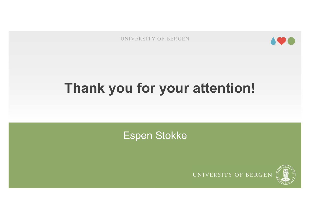

# UNIVERSITY OF BERGEN **490**

Espen Stokke